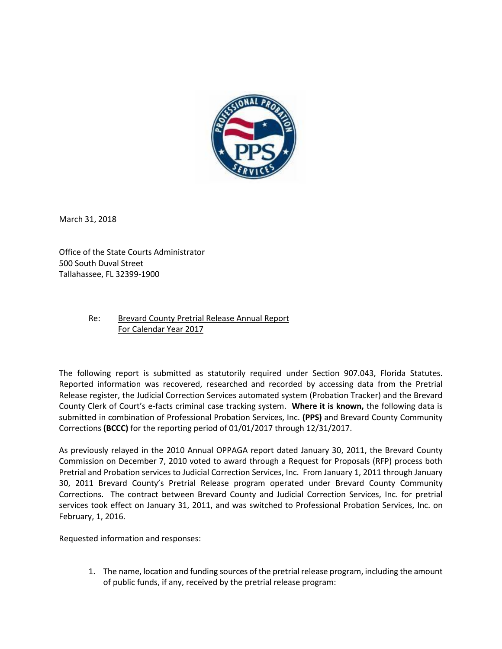

March 31, 2018

Office of the State Courts Administrator 500 South Duval Street Tallahassee, FL 32399-1900

## Re: Brevard County Pretrial Release Annual Report For Calendar Year 2017

The following report is submitted as statutorily required under Section 907.043, Florida Statutes. Reported information was recovered, researched and recorded by accessing data from the Pretrial Release register, the Judicial Correction Services automated system (Probation Tracker) and the Brevard County Clerk of Court's e-facts criminal case tracking system. **Where it is known,** the following data is submitted in combination of Professional Probation Services, Inc. **(PPS)** and Brevard County Community Corrections **(BCCC)** for the reporting period of 01/01/2017 through 12/31/2017.

As previously relayed in the 2010 Annual OPPAGA report dated January 30, 2011, the Brevard County Commission on December 7, 2010 voted to award through a Request for Proposals (RFP) process both Pretrial and Probation services to Judicial Correction Services, Inc. From January 1, 2011 through January 30, 2011 Brevard County's Pretrial Release program operated under Brevard County Community Corrections. The contract between Brevard County and Judicial Correction Services, Inc. for pretrial services took effect on January 31, 2011, and was switched to Professional Probation Services, Inc. on February, 1, 2016.

Requested information and responses:

1. The name, location and funding sources of the pretrial release program, including the amount of public funds, if any, received by the pretrial release program: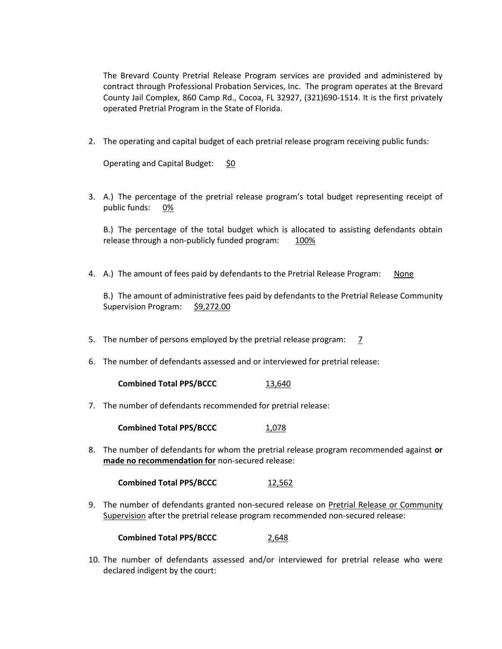The Brevard County Pretrial Release Program services are provided and administered by contract through Professional Probation Services, Inc. The program operates at the Brevard County Jail Complex, 860 Camp Rd., Cocoa, FL 32927, (321)690-1514. It is the first privately operated Pretrial Program in the State of Florida.

2. The operating and capital budget of each pretrial release program receiving public funds:

Operating and Capital Budget: \$0

3. A.) The percentage of the pretrial release program's total budget representing receipt of public funds: 0%

B.) The percentage of the total budget which is allocated to assisting defendants obtain release through a non-publicly funded program: 100%

4. A.) The amount of fees paid by defendants to the Pretrial Release Program: None

B.) The amount of administrative fees paid by defendants to the Pretrial Release Community Supervision Program: \$9,272.00

- 5. The number of persons employed by the pretrial release program: 7
- 6. The number of defendants assessed and or interviewed for pretrial release:

**Combined Total PPS/BCCC** 13,640

7. The number of defendants recommended for pretrial release:

**Combined Total PPS/BCCC** 1,078

8. The number of defendants for whom the pretrial release program recommended against **or made no recommendation for** non-secured release:

**Combined Total PPS/BCCC** 12,562

9. The number of defendants granted non-secured release on Pretrial Release or Community Supervision after the pretrial release program recommended non-secured release:

**Combined Total PPS/BCCC** 2,648

10. The number of defendants assessed and/or interviewed for pretrial release who were declared indigent by the court: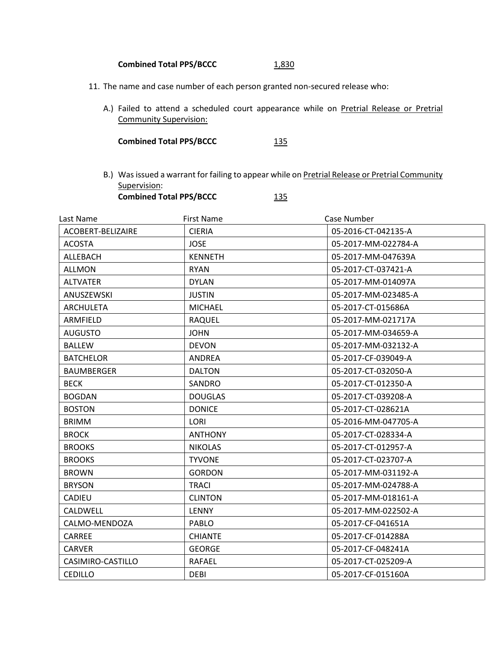## **Combined Total PPS/BCCC** 1,830

- 11. The name and case number of each person granted non-secured release who:
	- A.) Failed to attend a scheduled court appearance while on Pretrial Release or Pretrial Community Supervision:

| <b>Combined Total PPS/BCCC</b> | 135 |
|--------------------------------|-----|
|--------------------------------|-----|

B.) Was issued a warrant for failing to appear while on Pretrial Release or Pretrial Community Supervision: **Combined Total PPS/BCCC** 135

| Last Name         | First Name     | Case Number         |
|-------------------|----------------|---------------------|
| ACOBERT-BELIZAIRE | <b>CIERIA</b>  | 05-2016-CT-042135-A |
| <b>ACOSTA</b>     | <b>JOSE</b>    | 05-2017-MM-022784-A |
| ALLEBACH          | <b>KENNETH</b> | 05-2017-MM-047639A  |
| <b>ALLMON</b>     | <b>RYAN</b>    | 05-2017-CT-037421-A |
| <b>ALTVATER</b>   | <b>DYLAN</b>   | 05-2017-MM-014097A  |
| ANUSZEWSKI        | <b>JUSTIN</b>  | 05-2017-MM-023485-A |
| <b>ARCHULETA</b>  | <b>MICHAEL</b> | 05-2017-CT-015686A  |
| <b>ARMFIELD</b>   | <b>RAQUEL</b>  | 05-2017-MM-021717A  |
| <b>AUGUSTO</b>    | <b>JOHN</b>    | 05-2017-MM-034659-A |
| <b>BALLEW</b>     | <b>DEVON</b>   | 05-2017-MM-032132-A |
| <b>BATCHELOR</b>  | <b>ANDREA</b>  | 05-2017-CF-039049-A |
| <b>BAUMBERGER</b> | <b>DALTON</b>  | 05-2017-CT-032050-A |
| <b>BECK</b>       | SANDRO         | 05-2017-CT-012350-A |
| <b>BOGDAN</b>     | <b>DOUGLAS</b> | 05-2017-CT-039208-A |
| <b>BOSTON</b>     | <b>DONICE</b>  | 05-2017-CT-028621A  |
| <b>BRIMM</b>      | <b>LORI</b>    | 05-2016-MM-047705-A |
| <b>BROCK</b>      | <b>ANTHONY</b> | 05-2017-CT-028334-A |
| <b>BROOKS</b>     | <b>NIKOLAS</b> | 05-2017-CT-012957-A |
| <b>BROOKS</b>     | <b>TYVONE</b>  | 05-2017-CT-023707-A |
| <b>BROWN</b>      | <b>GORDON</b>  | 05-2017-MM-031192-A |
| <b>BRYSON</b>     | <b>TRACI</b>   | 05-2017-MM-024788-A |
| <b>CADIEU</b>     | <b>CLINTON</b> | 05-2017-MM-018161-A |
| CALDWELL          | <b>LENNY</b>   | 05-2017-MM-022502-A |
| CALMO-MENDOZA     | PABLO          | 05-2017-CF-041651A  |
| <b>CARREE</b>     | <b>CHIANTE</b> | 05-2017-CF-014288A  |
| <b>CARVER</b>     | <b>GEORGE</b>  | 05-2017-CF-048241A  |
| CASIMIRO-CASTILLO | <b>RAFAEL</b>  | 05-2017-CT-025209-A |
| <b>CEDILLO</b>    | <b>DEBI</b>    | 05-2017-CF-015160A  |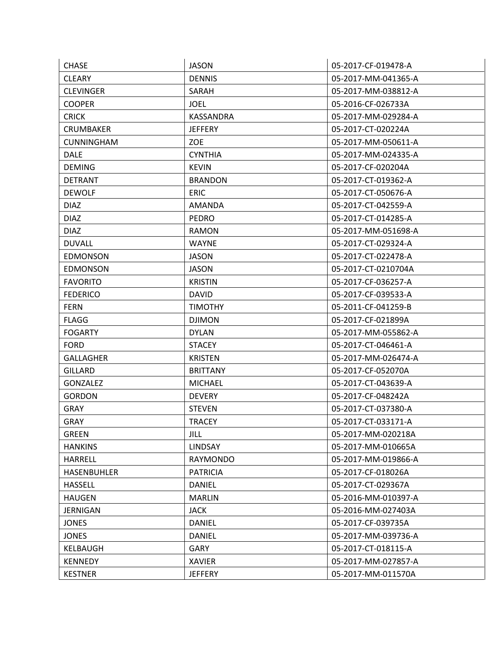| <b>JASON</b>     | 05-2017-CF-019478-A |
|------------------|---------------------|
| <b>DENNIS</b>    | 05-2017-MM-041365-A |
| SARAH            | 05-2017-MM-038812-A |
| <b>JOEL</b>      | 05-2016-CF-026733A  |
| <b>KASSANDRA</b> | 05-2017-MM-029284-A |
| <b>JEFFERY</b>   | 05-2017-CT-020224A  |
| <b>ZOE</b>       | 05-2017-MM-050611-A |
| <b>CYNTHIA</b>   | 05-2017-MM-024335-A |
| <b>KEVIN</b>     | 05-2017-CF-020204A  |
| <b>BRANDON</b>   | 05-2017-CT-019362-A |
| <b>ERIC</b>      | 05-2017-CT-050676-A |
| <b>AMANDA</b>    | 05-2017-CT-042559-A |
| <b>PEDRO</b>     | 05-2017-CT-014285-A |
| <b>RAMON</b>     | 05-2017-MM-051698-A |
| <b>WAYNE</b>     | 05-2017-CT-029324-A |
| <b>JASON</b>     | 05-2017-CT-022478-A |
| <b>JASON</b>     | 05-2017-CT-0210704A |
| <b>KRISTIN</b>   | 05-2017-CF-036257-A |
| <b>DAVID</b>     | 05-2017-CF-039533-A |
| <b>TIMOTHY</b>   | 05-2011-CF-041259-B |
| <b>DJIMON</b>    | 05-2017-CF-021899A  |
| <b>DYLAN</b>     | 05-2017-MM-055862-A |
| <b>STACEY</b>    | 05-2017-CT-046461-A |
| <b>KRISTEN</b>   | 05-2017-MM-026474-A |
| <b>BRITTANY</b>  | 05-2017-CF-052070A  |
| <b>MICHAEL</b>   | 05-2017-CT-043639-A |
| <b>DEVERY</b>    | 05-2017-CF-048242A  |
| <b>STEVEN</b>    | 05-2017-CT-037380-A |
| <b>TRACEY</b>    | 05-2017-CT-033171-A |
| JILL             | 05-2017-MM-020218A  |
| <b>LINDSAY</b>   | 05-2017-MM-010665A  |
| RAYMONDO         | 05-2017-MM-019866-A |
| <b>PATRICIA</b>  | 05-2017-CF-018026A  |
| <b>DANIEL</b>    | 05-2017-CT-029367A  |
| <b>MARLIN</b>    | 05-2016-MM-010397-A |
| <b>JACK</b>      | 05-2016-MM-027403A  |
| <b>DANIEL</b>    | 05-2017-CF-039735A  |
| <b>DANIEL</b>    | 05-2017-MM-039736-A |
| <b>GARY</b>      | 05-2017-CT-018115-A |
| <b>XAVIER</b>    | 05-2017-MM-027857-A |
| <b>JEFFERY</b>   | 05-2017-MM-011570A  |
|                  |                     |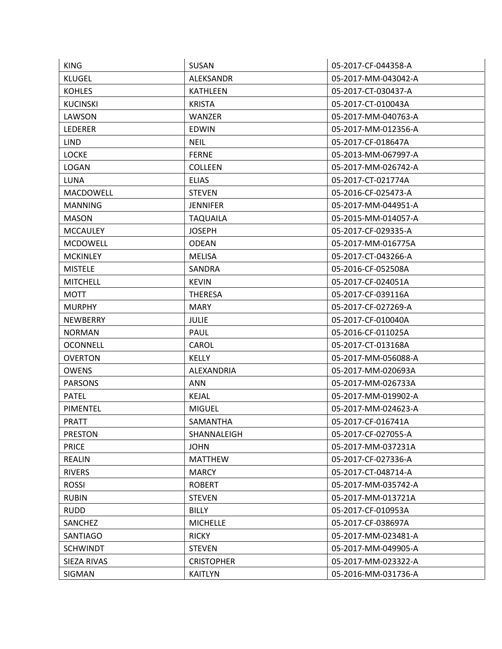| <b>KING</b>      | <b>SUSAN</b>      | 05-2017-CF-044358-A |
|------------------|-------------------|---------------------|
| <b>KLUGEL</b>    | <b>ALEKSANDR</b>  | 05-2017-MM-043042-A |
| <b>KOHLES</b>    | <b>KATHLEEN</b>   | 05-2017-CT-030437-A |
| <b>KUCINSKI</b>  | <b>KRISTA</b>     | 05-2017-CT-010043A  |
| LAWSON           | WANZER            | 05-2017-MM-040763-A |
| LEDERER          | <b>EDWIN</b>      | 05-2017-MM-012356-A |
| <b>LIND</b>      | <b>NEIL</b>       | 05-2017-CF-018647A  |
| <b>LOCKE</b>     | <b>FERNE</b>      | 05-2013-MM-067997-A |
| <b>LOGAN</b>     | <b>COLLEEN</b>    | 05-2017-MM-026742-A |
| <b>LUNA</b>      | <b>ELIAS</b>      | 05-2017-CT-021774A  |
| <b>MACDOWELL</b> | <b>STEVEN</b>     | 05-2016-CF-025473-A |
| <b>MANNING</b>   | <b>JENNIFER</b>   | 05-2017-MM-044951-A |
| <b>MASON</b>     | <b>TAQUAILA</b>   | 05-2015-MM-014057-A |
| <b>MCCAULEY</b>  | <b>JOSEPH</b>     | 05-2017-CF-029335-A |
| <b>MCDOWELL</b>  | <b>ODEAN</b>      | 05-2017-MM-016775A  |
| <b>MCKINLEY</b>  | <b>MELISA</b>     | 05-2017-CT-043266-A |
| <b>MISTELE</b>   | <b>SANDRA</b>     | 05-2016-CF-052508A  |
| <b>MITCHELL</b>  | <b>KEVIN</b>      | 05-2017-CF-024051A  |
| <b>MOTT</b>      | <b>THERESA</b>    | 05-2017-CF-039116A  |
| <b>MURPHY</b>    | <b>MARY</b>       | 05-2017-CF-027269-A |
| NEWBERRY         | <b>JULIE</b>      | 05-2017-CF-010040A  |
| <b>NORMAN</b>    | PAUL              | 05-2016-CF-011025A  |
| OCONNELL         | CAROL             | 05-2017-CT-013168A  |
| <b>OVERTON</b>   | <b>KELLY</b>      | 05-2017-MM-056088-A |
| <b>OWENS</b>     | ALEXANDRIA        | 05-2017-MM-020693A  |
| <b>PARSONS</b>   | ANN               | 05-2017-MM-026733A  |
| <b>PATEL</b>     | <b>KEJAL</b>      | 05-2017-MM-019902-A |
| PIMENTEL         | <b>MIGUEL</b>     | 05-2017-MM-024623-A |
| <b>PRATT</b>     | SAMANTHA          | 05-2017-CF-016741A  |
| <b>PRESTON</b>   | SHANNALEIGH       | 05-2017-CF-027055-A |
| <b>PRICE</b>     | <b>JOHN</b>       | 05-2017-MM-037231A  |
| <b>REALIN</b>    | <b>MATTHEW</b>    | 05-2017-CF-027336-A |
| <b>RIVERS</b>    | <b>MARCY</b>      | 05-2017-CT-048714-A |
| <b>ROSSI</b>     | <b>ROBERT</b>     | 05-2017-MM-035742-A |
| <b>RUBIN</b>     | <b>STEVEN</b>     | 05-2017-MM-013721A  |
| <b>RUDD</b>      | <b>BILLY</b>      | 05-2017-CF-010953A  |
| SANCHEZ          | <b>MICHELLE</b>   | 05-2017-CF-038697A  |
| SANTIAGO         | <b>RICKY</b>      | 05-2017-MM-023481-A |
| <b>SCHWINDT</b>  | <b>STEVEN</b>     | 05-2017-MM-049905-A |
| SIEZA RIVAS      | <b>CRISTOPHER</b> | 05-2017-MM-023322-A |
| SIGMAN           | <b>KAITLYN</b>    | 05-2016-MM-031736-A |
|                  |                   |                     |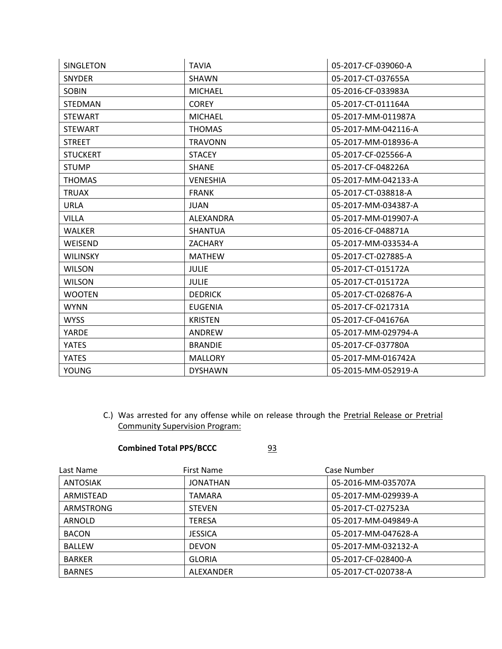| <b>SINGLETON</b> | <b>TAVIA</b>    | 05-2017-CF-039060-A |
|------------------|-----------------|---------------------|
| <b>SNYDER</b>    | <b>SHAWN</b>    | 05-2017-CT-037655A  |
| <b>SOBIN</b>     | <b>MICHAEL</b>  | 05-2016-CF-033983A  |
| <b>STEDMAN</b>   | <b>COREY</b>    | 05-2017-CT-011164A  |
| <b>STEWART</b>   | <b>MICHAEL</b>  | 05-2017-MM-011987A  |
| <b>STEWART</b>   | <b>THOMAS</b>   | 05-2017-MM-042116-A |
| <b>STREET</b>    | <b>TRAVONN</b>  | 05-2017-MM-018936-A |
| <b>STUCKERT</b>  | <b>STACEY</b>   | 05-2017-CF-025566-A |
| <b>STUMP</b>     | <b>SHANE</b>    | 05-2017-CF-048226A  |
| <b>THOMAS</b>    | <b>VENESHIA</b> | 05-2017-MM-042133-A |
| <b>TRUAX</b>     | <b>FRANK</b>    | 05-2017-CT-038818-A |
| <b>URLA</b>      | <b>JUAN</b>     | 05-2017-MM-034387-A |
| <b>VILLA</b>     | ALEXANDRA       | 05-2017-MM-019907-A |
| <b>WALKER</b>    | <b>SHANTUA</b>  | 05-2016-CF-048871A  |
| WEISEND          | <b>ZACHARY</b>  | 05-2017-MM-033534-A |
| <b>WILINSKY</b>  | <b>MATHEW</b>   | 05-2017-CT-027885-A |
| <b>WILSON</b>    | <b>JULIE</b>    | 05-2017-CT-015172A  |
| <b>WILSON</b>    | <b>JULIE</b>    | 05-2017-CT-015172A  |
| <b>WOOTEN</b>    | <b>DEDRICK</b>  | 05-2017-CT-026876-A |
| <b>WYNN</b>      | <b>EUGENIA</b>  | 05-2017-CF-021731A  |
| <b>WYSS</b>      | <b>KRISTEN</b>  | 05-2017-CF-041676A  |
| YARDE            | <b>ANDREW</b>   | 05-2017-MM-029794-A |
| <b>YATES</b>     | <b>BRANDIE</b>  | 05-2017-CF-037780A  |
| <b>YATES</b>     | <b>MALLORY</b>  | 05-2017-MM-016742A  |
| <b>YOUNG</b>     | <b>DYSHAWN</b>  | 05-2015-MM-052919-A |

C.) Was arrested for any offense while on release through the Pretrial Release or Pretrial Community Supervision Program:

## **Combined Total PPS/BCCC** 93

| Last Name        | First Name     | Case Number         |
|------------------|----------------|---------------------|
| ANTOSIAK         | JONATHAN       | 05-2016-MM-035707A  |
| ARMISTEAD        | TAMARA         | 05-2017-MM-029939-A |
| <b>ARMSTRONG</b> | <b>STEVEN</b>  | 05-2017-CT-027523A  |
| ARNOLD           | <b>TERESA</b>  | 05-2017-MM-049849-A |
| <b>BACON</b>     | <b>JESSICA</b> | 05-2017-MM-047628-A |
| <b>BALLEW</b>    | <b>DEVON</b>   | 05-2017-MM-032132-A |
| <b>BARKER</b>    | <b>GLORIA</b>  | 05-2017-CF-028400-A |
| <b>BARNES</b>    | ALEXANDER      | 05-2017-CT-020738-A |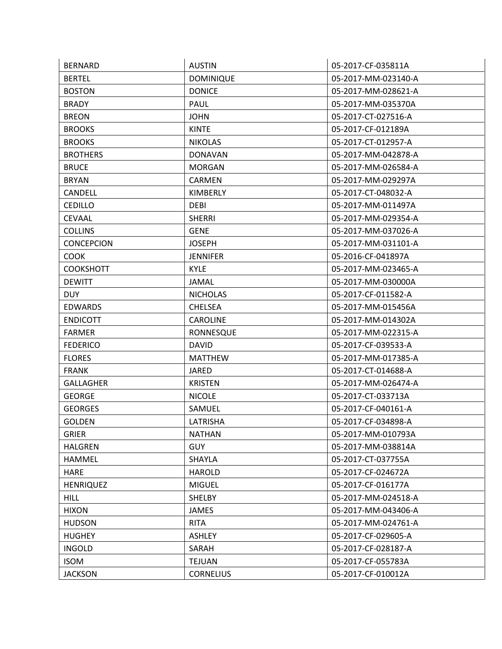| <b>BERNARD</b>    | <b>AUSTIN</b>    | 05-2017-CF-035811A  |
|-------------------|------------------|---------------------|
| <b>BERTEL</b>     | <b>DOMINIQUE</b> | 05-2017-MM-023140-A |
| <b>BOSTON</b>     | <b>DONICE</b>    | 05-2017-MM-028621-A |
| <b>BRADY</b>      | PAUL             | 05-2017-MM-035370A  |
| <b>BREON</b>      | <b>JOHN</b>      | 05-2017-CT-027516-A |
| <b>BROOKS</b>     | <b>KINTE</b>     | 05-2017-CF-012189A  |
| <b>BROOKS</b>     | <b>NIKOLAS</b>   | 05-2017-CT-012957-A |
| <b>BROTHERS</b>   | <b>DONAVAN</b>   | 05-2017-MM-042878-A |
| <b>BRUCE</b>      | <b>MORGAN</b>    | 05-2017-MM-026584-A |
| <b>BRYAN</b>      | CARMEN           | 05-2017-MM-029297A  |
| <b>CANDELL</b>    | <b>KIMBERLY</b>  | 05-2017-CT-048032-A |
| <b>CEDILLO</b>    | <b>DEBI</b>      | 05-2017-MM-011497A  |
| <b>CEVAAL</b>     | <b>SHERRI</b>    | 05-2017-MM-029354-A |
| <b>COLLINS</b>    | <b>GENE</b>      | 05-2017-MM-037026-A |
| <b>CONCEPCION</b> | <b>JOSEPH</b>    | 05-2017-MM-031101-A |
| <b>COOK</b>       | <b>JENNIFER</b>  | 05-2016-CF-041897A  |
| <b>COOKSHOTT</b>  | <b>KYLE</b>      | 05-2017-MM-023465-A |
| <b>DEWITT</b>     | <b>JAMAL</b>     | 05-2017-MM-030000A  |
| <b>DUY</b>        | <b>NICHOLAS</b>  | 05-2017-CF-011582-A |
| <b>EDWARDS</b>    | <b>CHELSEA</b>   | 05-2017-MM-015456A  |
| <b>ENDICOTT</b>   | <b>CAROLINE</b>  | 05-2017-MM-014302A  |
| <b>FARMER</b>     | <b>RONNESQUE</b> | 05-2017-MM-022315-A |
| <b>FEDERICO</b>   | <b>DAVID</b>     | 05-2017-CF-039533-A |
| <b>FLORES</b>     | <b>MATTHEW</b>   | 05-2017-MM-017385-A |
| <b>FRANK</b>      | JARED            | 05-2017-CT-014688-A |
| <b>GALLAGHER</b>  | <b>KRISTEN</b>   | 05-2017-MM-026474-A |
| <b>GEORGE</b>     | <b>NICOLE</b>    | 05-2017-CT-033713A  |
| <b>GEORGES</b>    | SAMUEL           | 05-2017-CF-040161-A |
| <b>GOLDEN</b>     | LATRISHA         | 05-2017-CF-034898-A |
| <b>GRIER</b>      | <b>NATHAN</b>    | 05-2017-MM-010793A  |
| <b>HALGREN</b>    | <b>GUY</b>       | 05-2017-MM-038814A  |
| <b>HAMMEL</b>     | SHAYLA           | 05-2017-CT-037755A  |
| <b>HARE</b>       | <b>HAROLD</b>    | 05-2017-CF-024672A  |
| <b>HENRIQUEZ</b>  | <b>MIGUEL</b>    | 05-2017-CF-016177A  |
| <b>HILL</b>       | <b>SHELBY</b>    | 05-2017-MM-024518-A |
| <b>HIXON</b>      | <b>JAMES</b>     | 05-2017-MM-043406-A |
| <b>HUDSON</b>     | <b>RITA</b>      | 05-2017-MM-024761-A |
| <b>HUGHEY</b>     | <b>ASHLEY</b>    | 05-2017-CF-029605-A |
| <b>INGOLD</b>     | SARAH            | 05-2017-CF-028187-A |
| <b>ISOM</b>       | <b>TEJUAN</b>    | 05-2017-CF-055783A  |
| <b>JACKSON</b>    | <b>CORNELIUS</b> | 05-2017-CF-010012A  |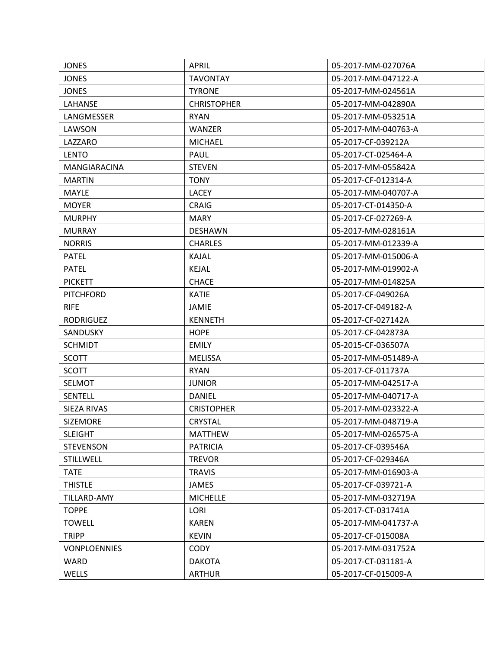| <b>JONES</b>        | <b>APRIL</b>       | 05-2017-MM-027076A  |
|---------------------|--------------------|---------------------|
| <b>JONES</b>        | <b>TAVONTAY</b>    | 05-2017-MM-047122-A |
| <b>JONES</b>        | <b>TYRONE</b>      | 05-2017-MM-024561A  |
| LAHANSE             | <b>CHRISTOPHER</b> | 05-2017-MM-042890A  |
| LANGMESSER          | <b>RYAN</b>        | 05-2017-MM-053251A  |
| LAWSON              | <b>WANZER</b>      | 05-2017-MM-040763-A |
| LAZZARO             | <b>MICHAEL</b>     | 05-2017-CF-039212A  |
| <b>LENTO</b>        | <b>PAUL</b>        | 05-2017-CT-025464-A |
| <b>MANGIARACINA</b> | <b>STEVEN</b>      | 05-2017-MM-055842A  |
| <b>MARTIN</b>       | <b>TONY</b>        | 05-2017-CF-012314-A |
| <b>MAYLE</b>        | <b>LACEY</b>       | 05-2017-MM-040707-A |
| <b>MOYER</b>        | <b>CRAIG</b>       | 05-2017-CT-014350-A |
| <b>MURPHY</b>       | <b>MARY</b>        | 05-2017-CF-027269-A |
| <b>MURRAY</b>       | <b>DESHAWN</b>     | 05-2017-MM-028161A  |
| <b>NORRIS</b>       | <b>CHARLES</b>     | 05-2017-MM-012339-A |
| <b>PATEL</b>        | KAJAL              | 05-2017-MM-015006-A |
| <b>PATEL</b>        | <b>KEJAL</b>       | 05-2017-MM-019902-A |
| <b>PICKETT</b>      | <b>CHACE</b>       | 05-2017-MM-014825A  |
| <b>PITCHFORD</b>    | <b>KATIE</b>       | 05-2017-CF-049026A  |
| <b>RIFE</b>         | <b>JAMIE</b>       | 05-2017-CF-049182-A |
| <b>RODRIGUEZ</b>    | <b>KENNETH</b>     | 05-2017-CF-027142A  |
| SANDUSKY            | <b>HOPE</b>        | 05-2017-CF-042873A  |
| <b>SCHMIDT</b>      | <b>EMILY</b>       | 05-2015-CF-036507A  |
| <b>SCOTT</b>        | <b>MELISSA</b>     | 05-2017-MM-051489-A |
| <b>SCOTT</b>        | <b>RYAN</b>        | 05-2017-CF-011737A  |
| <b>SELMOT</b>       | <b>JUNIOR</b>      | 05-2017-MM-042517-A |
| <b>SENTELL</b>      | <b>DANIEL</b>      | 05-2017-MM-040717-A |
| SIEZA RIVAS         | <b>CRISTOPHER</b>  | 05-2017-MM-023322-A |
| <b>SIZEMORE</b>     | <b>CRYSTAL</b>     | 05-2017-MM-048719-A |
| <b>SLEIGHT</b>      | <b>MATTHEW</b>     | 05-2017-MM-026575-A |
| <b>STEVENSON</b>    | <b>PATRICIA</b>    | 05-2017-CF-039546A  |
| <b>STILLWELL</b>    | <b>TREVOR</b>      | 05-2017-CF-029346A  |
| <b>TATE</b>         | <b>TRAVIS</b>      | 05-2017-MM-016903-A |
| <b>THISTLE</b>      | <b>JAMES</b>       | 05-2017-CF-039721-A |
| <b>TILLARD-AMY</b>  | <b>MICHELLE</b>    | 05-2017-MM-032719A  |
| <b>TOPPE</b>        | LORI               | 05-2017-CT-031741A  |
| <b>TOWELL</b>       | <b>KAREN</b>       | 05-2017-MM-041737-A |
| <b>TRIPP</b>        | <b>KEVIN</b>       | 05-2017-CF-015008A  |
| <b>VONPLOENNIES</b> | <b>CODY</b>        | 05-2017-MM-031752A  |
| WARD                | <b>DAKOTA</b>      | 05-2017-CT-031181-A |
| WELLS               | <b>ARTHUR</b>      | 05-2017-CF-015009-A |